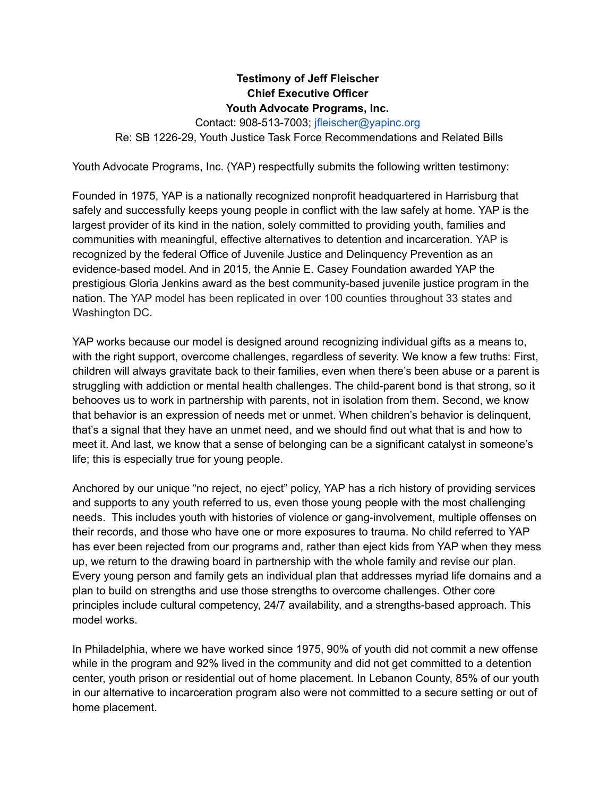## **Testimony of Jeff Fleischer Chief Executive Officer Youth Advocate Programs, Inc.**

## Contact: 908-513-7003; jfleischer@yapinc.org

Re: SB 1226-29, Youth Justice Task Force Recommendations and Related Bills

Youth Advocate Programs, Inc. (YAP) respectfully submits the following written testimony:

Founded in 1975, YAP is a nationally recognized nonprofit headquartered in Harrisburg that safely and successfully keeps young people in conflict with the law safely at home. YAP is the largest provider of its kind in the nation, solely committed to providing youth, families and communities with meaningful, effective alternatives to detention and incarceration. YAP is recognized by the federal Office of Juvenile Justice and Delinquency Prevention as an evidence-based model. And in 2015, the Annie E. Casey Foundation awarded YAP the prestigious Gloria Jenkins award as the best community-based juvenile justice program in the nation. The YAP model has been replicated in over 100 counties throughout 33 states and Washington DC.

YAP works because our model is designed around recognizing individual gifts as a means to, with the right support, overcome challenges, regardless of severity. We know a few truths: First, children will always gravitate back to their families, even when there's been abuse or a parent is struggling with addiction or mental health challenges. The child-parent bond is that strong, so it behooves us to work in partnership with parents, not in isolation from them. Second, we know that behavior is an expression of needs met or unmet. When children's behavior is delinquent, that's a signal that they have an unmet need, and we should find out what that is and how to meet it. And last, we know that a sense of belonging can be a significant catalyst in someone's life; this is especially true for young people.

Anchored by our unique "no reject, no eject" policy, YAP has a rich history of providing services and supports to any youth referred to us, even those young people with the most challenging needs. This includes youth with histories of violence or gang-involvement, multiple offenses on their records, and those who have one or more exposures to trauma. No child referred to YAP has ever been rejected from our programs and, rather than eject kids from YAP when they mess up, we return to the drawing board in partnership with the whole family and revise our plan. Every young person and family gets an individual plan that addresses myriad life domains and a plan to build on strengths and use those strengths to overcome challenges. Other core principles include cultural competency, 24/7 availability, and a strengths-based approach. This model works.

In Philadelphia, where we have worked since 1975, 90% of youth did not commit a new offense while in the program and 92% lived in the community and did not get committed to a detention center, youth prison or residential out of home placement. In Lebanon County, 85% of our youth in our alternative to incarceration program also were not committed to a secure setting or out of home placement.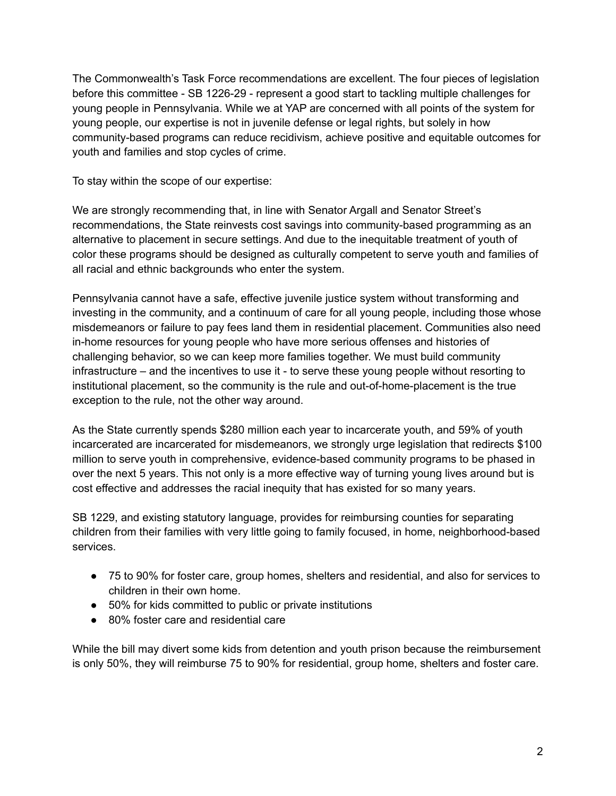The Commonwealth's Task Force recommendations are excellent. The four pieces of legislation before this committee - SB 1226-29 - represent a good start to tackling multiple challenges for young people in Pennsylvania. While we at YAP are concerned with all points of the system for young people, our expertise is not in juvenile defense or legal rights, but solely in how community-based programs can reduce recidivism, achieve positive and equitable outcomes for youth and families and stop cycles of crime.

To stay within the scope of our expertise:

We are strongly recommending that, in line with Senator Argall and Senator Street's recommendations, the State reinvests cost savings into community-based programming as an alternative to placement in secure settings. And due to the inequitable treatment of youth of color these programs should be designed as culturally competent to serve youth and families of all racial and ethnic backgrounds who enter the system.

Pennsylvania cannot have a safe, effective juvenile justice system without transforming and investing in the community, and a continuum of care for all young people, including those whose misdemeanors or failure to pay fees land them in residential placement. Communities also need in-home resources for young people who have more serious offenses and histories of challenging behavior, so we can keep more families together. We must build community infrastructure – and the incentives to use it - to serve these young people without resorting to institutional placement, so the community is the rule and out-of-home-placement is the true exception to the rule, not the other way around.

As the State currently spends \$280 million each year to incarcerate youth, and 59% of youth incarcerated are incarcerated for misdemeanors, we strongly urge legislation that redirects \$100 million to serve youth in comprehensive, evidence-based community programs to be phased in over the next 5 years. This not only is a more effective way of turning young lives around but is cost effective and addresses the racial inequity that has existed for so many years.

SB 1229, and existing statutory language, provides for reimbursing counties for separating children from their families with very little going to family focused, in home, neighborhood-based services.

- 75 to 90% for foster care, group homes, shelters and residential, and also for services to children in their own home.
- 50% for kids committed to public or private institutions
- 80% foster care and residential care

While the bill may divert some kids from detention and youth prison because the reimbursement is only 50%, they will reimburse 75 to 90% for residential, group home, shelters and foster care.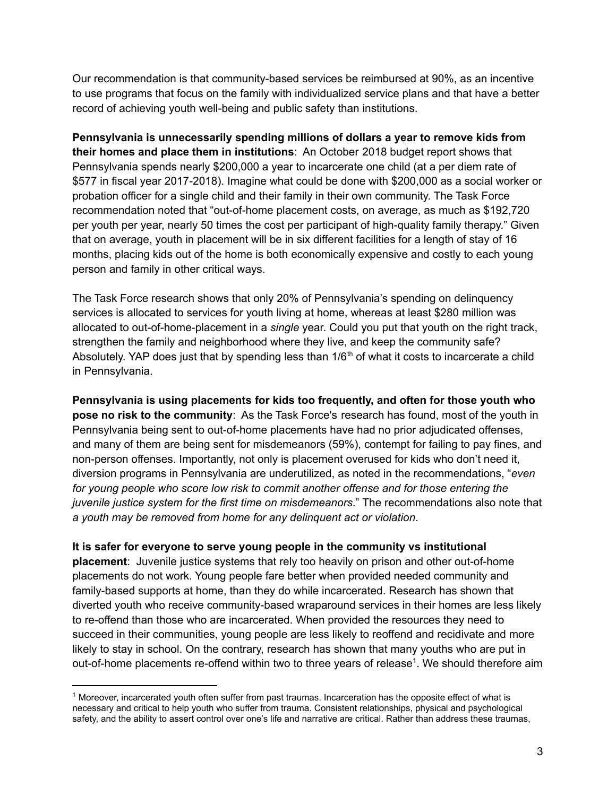Our recommendation is that community-based services be reimbursed at 90%, as an incentive to use programs that focus on the family with individualized service plans and that have a better record of achieving youth well-being and public safety than institutions.

**Pennsylvania is unnecessarily spending millions of dollars a year to remove kids from their homes and place them in institutions**: An October 2018 budget report shows that Pennsylvania spends nearly \$200,000 a year to incarcerate one child (at a per diem rate of \$577 in fiscal year 2017-2018). Imagine what could be done with \$200,000 as a social worker or probation officer for a single child and their family in their own community. The Task Force recommendation noted that "out-of-home placement costs, on average, as much as \$192,720 per youth per year, nearly 50 times the cost per participant of high-quality family therapy." Given that on average, youth in placement will be in six different facilities for a length of stay of 16 months, placing kids out of the home is both economically expensive and costly to each young person and family in other critical ways.

The Task Force research shows that only 20% of Pennsylvania's spending on delinquency services is allocated to services for youth living at home, whereas at least \$280 million was allocated to out-of-home-placement in a *single* year. Could you put that youth on the right track, strengthen the family and neighborhood where they live, and keep the community safe? Absolutely. YAP does just that by spending less than 1/6<sup>th</sup> of what it costs to incarcerate a child in Pennsylvania.

**Pennsylvania is using placements for kids too frequently, and often for those youth who pose no risk to the community**: As the Task Force's research has found, most of the youth in Pennsylvania being sent to out-of-home placements have had no prior adjudicated offenses, and many of them are being sent for misdemeanors (59%), contempt for failing to pay fines, and non-person offenses. Importantly, not only is placement overused for kids who don't need it, diversion programs in Pennsylvania are underutilized, as noted in the recommendations, "*even for young people who score low risk to commit another offense and for those entering the juvenile justice system for the first time on misdemeanors*." The recommendations also note that *a youth may be removed from home for any delinquent act or violation*.

**It is safer for everyone to serve young people in the community vs institutional**

**placement**: Juvenile justice systems that rely too heavily on prison and other out-of-home placements do not work. Young people fare better when provided needed community and family-based supports at home, than they do while incarcerated. Research has shown that diverted youth who receive community-based wraparound services in their homes are less likely to re-offend than those who are incarcerated. When provided the resources they need to succeed in their communities, young people are less likely to reoffend and recidivate and more likely to stay in school. On the contrary, research has shown that many youths who are put in out-of-home placements re-offend within two to three years of release<sup>1</sup>. We should therefore aim

<sup>&</sup>lt;sup>1</sup> Moreover, incarcerated youth often suffer from past traumas. Incarceration has the opposite effect of what is necessary and critical to help youth who suffer from trauma. Consistent relationships, physical and psychological safety, and the ability to assert control over one's life and narrative are critical. Rather than address these traumas,